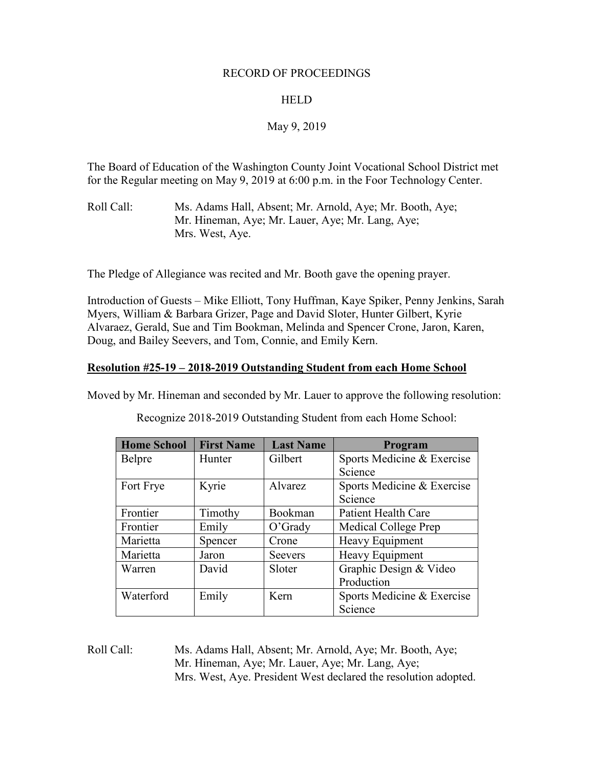#### RECORD OF PROCEEDINGS

## HELD

# May 9, 2019

The Board of Education of the Washington County Joint Vocational School District met for the Regular meeting on May 9, 2019 at 6:00 p.m. in the Foor Technology Center.

Roll Call: Ms. Adams Hall, Absent; Mr. Arnold, Aye; Mr. Booth, Aye; Mr. Hineman, Aye; Mr. Lauer, Aye; Mr. Lang, Aye; Mrs. West, Aye.

The Pledge of Allegiance was recited and Mr. Booth gave the opening prayer.

Introduction of Guests – Mike Elliott, Tony Huffman, Kaye Spiker, Penny Jenkins, Sarah Myers, William & Barbara Grizer, Page and David Sloter, Hunter Gilbert, Kyrie Alvaraez, Gerald, Sue and Tim Bookman, Melinda and Spencer Crone, Jaron, Karen, Doug, and Bailey Seevers, and Tom, Connie, and Emily Kern.

## **Resolution #25-19 – 2018-2019 Outstanding Student from each Home School**

Moved by Mr. Hineman and seconded by Mr. Lauer to approve the following resolution:

| <b>Home School</b> | <b>First Name</b> | <b>Last Name</b> | Program                    |
|--------------------|-------------------|------------------|----------------------------|
| Belpre             | Hunter            | Gilbert          | Sports Medicine & Exercise |
|                    |                   |                  | Science                    |
| Fort Frye          | Kyrie             | <b>A</b> lvarez  | Sports Medicine & Exercise |
|                    |                   |                  | Science                    |
| Frontier           | Timothy           | Bookman          | <b>Patient Health Care</b> |
| Frontier           | Emily             | $O'$ Grady       | Medical College Prep       |
| Marietta           | Spencer           | Crone            | Heavy Equipment            |
| Marietta           | Jaron             | <b>Seevers</b>   | Heavy Equipment            |
| Warren             | David             | Sloter           | Graphic Design & Video     |
|                    |                   |                  | Production                 |
| Waterford          | Emily             | Kern             | Sports Medicine & Exercise |
|                    |                   |                  | Science                    |

Recognize 2018-2019 Outstanding Student from each Home School:

Roll Call: Ms. Adams Hall, Absent; Mr. Arnold, Aye; Mr. Booth, Aye; Mr. Hineman, Aye; Mr. Lauer, Aye; Mr. Lang, Aye; Mrs. West, Aye. President West declared the resolution adopted.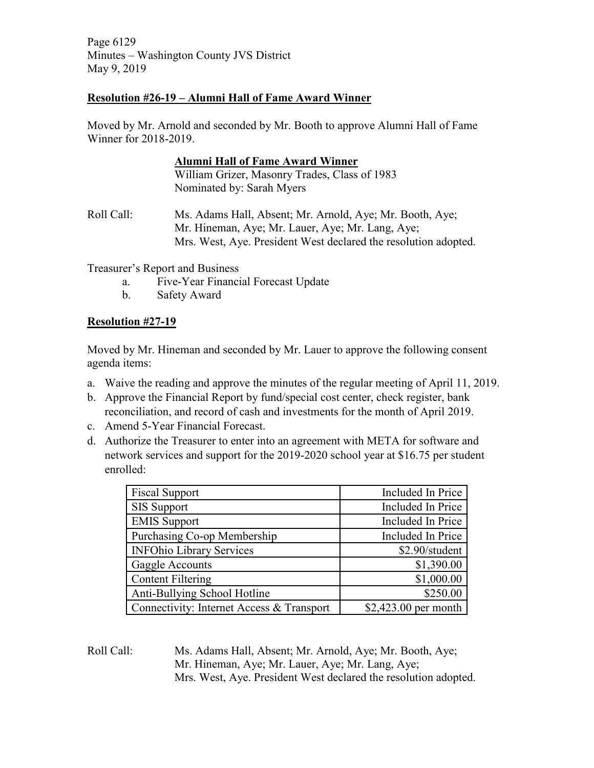Page 6129 Minutes – Washington County JVS District May 9, 2019

## **Resolution #26-19 – Alumni Hall of Fame Award Winner**

Moved by Mr. Arnold and seconded by Mr. Booth to approve Alumni Hall of Fame Winner for 2018-2019.

|            | <b>Alumni Hall of Fame Award Winner</b>                                                                                                                                         |
|------------|---------------------------------------------------------------------------------------------------------------------------------------------------------------------------------|
|            | William Grizer, Masonry Trades, Class of 1983                                                                                                                                   |
|            | Nominated by: Sarah Myers                                                                                                                                                       |
| Roll Call: | Ms. Adams Hall, Absent; Mr. Arnold, Aye; Mr. Booth, Aye;<br>Mr. Hineman, Aye; Mr. Lauer, Aye; Mr. Lang, Aye;<br>Mrs. West, Aye. President West declared the resolution adopted. |

Treasurer's Report and Business

- a. Five-Year Financial Forecast Update
- b. Safety Award

# **Resolution #27-19**

Moved by Mr. Hineman and seconded by Mr. Lauer to approve the following consent agenda items:

- a. Waive the reading and approve the minutes of the regular meeting of April 11, 2019.
- b. Approve the Financial Report by fund/special cost center, check register, bank reconciliation, and record of cash and investments for the month of April 2019.
- c. Amend 5-Year Financial Forecast.
- d. Authorize the Treasurer to enter into an agreement with META for software and network services and support for the 2019-2020 school year at \$16.75 per student enrolled:

| <b>Fiscal Support</b>                     | Included In Price        |
|-------------------------------------------|--------------------------|
| <b>SIS Support</b>                        | Included In Price        |
| <b>EMIS Support</b>                       | Included In Price        |
| Purchasing Co-op Membership               | <b>Included In Price</b> |
| <b>INFOhio Library Services</b>           | \$2.90/student           |
| Gaggle Accounts                           | \$1,390.00               |
| <b>Content Filtering</b>                  | \$1,000.00               |
| Anti-Bullying School Hotline              | \$250.00                 |
| Connectivity: Internet Access & Transport | \$2,423.00 per month     |

Roll Call: Ms. Adams Hall, Absent; Mr. Arnold, Aye; Mr. Booth, Aye; Mr. Hineman, Aye; Mr. Lauer, Aye; Mr. Lang, Aye; Mrs. West, Aye. President West declared the resolution adopted.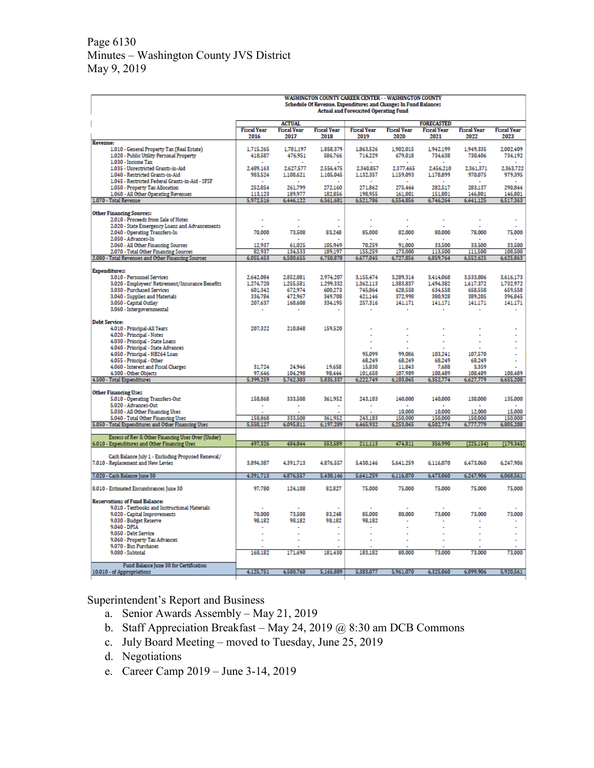## Page 6130 Minutes – Washington County JVS District May 9, 2019

|                                                                                | <b>WASHINGTON COUNTY CAREER CENTER - - WASHINGTON COUNTY</b><br>Schedule Of Revenue, Expenditures and Changes In Fund Balances<br><b>Actual and Forecasted Operating Fund</b> |                            |                            |                            |                            |                            |                            |                            |
|--------------------------------------------------------------------------------|-------------------------------------------------------------------------------------------------------------------------------------------------------------------------------|----------------------------|----------------------------|----------------------------|----------------------------|----------------------------|----------------------------|----------------------------|
|                                                                                |                                                                                                                                                                               | <b>ACTUAL</b>              |                            |                            |                            | <b>FORECASTED</b>          |                            |                            |
|                                                                                | <b>Fiscal Year</b><br>2016                                                                                                                                                    | <b>Fiscal Year</b><br>2017 | <b>Fiscal Year</b><br>2018 | <b>Fiscal Year</b><br>2019 | <b>Fiscal Year</b><br>2020 | <b>Fiscal Year</b><br>2021 | <b>Fiscal Year</b><br>2022 | <b>Fiscal Year</b><br>2023 |
| <b>Revenue:</b>                                                                |                                                                                                                                                                               |                            |                            |                            |                            |                            |                            |                            |
| 1.010 - General Property Tax (Real Estate)                                     | 1,715,265                                                                                                                                                                     | 1,781,197                  | 1,858,379                  | 1,863,526                  | 1,902,015                  | 1,942,199                  | 1,949,335                  | 2,002,409                  |
| 1.020 - Public Utility Personal Property<br>1.030 - Income Tax                 | 418,587                                                                                                                                                                       | 476,951                    | 586,766                    | 714,229                    | 679,018                    | 734,638                    | 730,406                    | 734,192                    |
| 1.035 - Unrestricted Grants-in-Aid                                             | 2.489,163                                                                                                                                                                     | 2,627,577                  | 2,556,475                  | 2,340,857                  | 2,377,465                  | 2,456,210                  | 2,361,371                  | 2,363,722                  |
| 1.040 - Restricted Grants-in-Aid                                               | 983,524                                                                                                                                                                       | 1,108,621                  | 1,105,045                  | 1,132,357                  | 1,159,093                  | 1,178,899                  | 970,075                    | 979,395                    |
| 1.045 - Restricted Federal Grants-in-Aid - SFSF                                |                                                                                                                                                                               | 261.799                    |                            |                            |                            |                            |                            |                            |
| 1.050 - Property Tax Allocation<br>1.060 - All Other Operating Revenues        | 252.854<br>113,123                                                                                                                                                            | 189,977                    | 272,160<br>182,856         | 271,862<br>198.955         | 275,464<br>161,801         | 282.517<br>151,801         | 283.137<br>146,801         | 290,844<br>146,801         |
| 1.070 - Total Revenue                                                          | 5,972,516                                                                                                                                                                     | 6,446,122                  | 6,561,681                  | 6,521,786                  | 6,554,856                  | 6,746,264                  | 6,441,125                  | 6,517,363                  |
|                                                                                |                                                                                                                                                                               |                            |                            |                            |                            |                            |                            |                            |
| <b>Other Financing Sources:</b><br>2.010 - Proceeds from Sale of Notes         |                                                                                                                                                                               |                            |                            |                            |                            |                            |                            |                            |
| 2.020 - State Emergency Loans and Advancements                                 |                                                                                                                                                                               |                            |                            |                            |                            |                            |                            |                            |
| 2.040 - Operating Transfers-In                                                 | 70,000                                                                                                                                                                        | 73,508                     | 83,248                     | 85,000                     | 82,000                     | 80,000                     | 78,000                     | 75,000                     |
| 2.050 - Advances-In                                                            | ÷                                                                                                                                                                             | $\sim$                     |                            | ÷.                         | ÷.                         | $\sim$                     |                            | $\sim$                     |
| 2.060 - All Other Financing Sources<br>2.070 - Total Other Financing Sources   | 12.937<br>82.937                                                                                                                                                              | 61.025<br>134,533          | 105.949<br>189.197         | 70,259<br>155,259          | 91.000<br>173,000          | 33,500<br>113.500          | 33,500<br>111.500          | 33,500<br>108,500          |
| 2.080 - Total Revenues and Other Financing Sources                             | 6,055,453                                                                                                                                                                     | 6,580,655                  | 6,750,878                  | 6,677,045                  | 6,727,856                  | 6,859,764                  | 6,552,625                  | 6,625,863                  |
|                                                                                |                                                                                                                                                                               |                            |                            |                            |                            |                            |                            |                            |
| <b>Expenditures:</b>                                                           |                                                                                                                                                                               |                            |                            |                            |                            |                            |                            |                            |
| 3.010 - Personnel Services<br>3.020 - Employees' Retirement/Insurance Benefits | 2,642,084<br>1,274,720                                                                                                                                                        | 2,852,081<br>1,255,581     | 2.974.207<br>1,299,332     | 3.155.474<br>1,362,113     | 3,289,314<br>1,383,837     | 3,414,068<br>1,494,382     | 3,533,806<br>1,617,372     | 3,616,173<br>1,732,972     |
| 3.030 - Purchased Services                                                     | 601.342                                                                                                                                                                       | 672,974                    | 600.273                    | 745.864                    | 628.558                    | 634.558                    | 658,558                    | 659,558                    |
| 3.040 - Supplies and Materials                                                 | 336,784                                                                                                                                                                       | 472,967                    | 349,708                    | 421,146                    | 372,998                    | 380,928                    | 389,205                    | 396,845                    |
| 3.050 - Capital Outlay                                                         | 207,637                                                                                                                                                                       | 168,608                    | 334,195                    | 257,316                    | 141,171                    | 141,171                    | 141,171                    | 141,171                    |
| 3.060 - Intergovernmental                                                      |                                                                                                                                                                               |                            |                            |                            |                            |                            |                            |                            |
| <b>Debt Service:</b>                                                           |                                                                                                                                                                               |                            |                            |                            |                            |                            |                            |                            |
| 4.010 - Principal-All Years                                                    | 207.322                                                                                                                                                                       | 210.848                    | 159.520                    |                            |                            |                            |                            | ä,                         |
| 4.020 - Principal - Notes                                                      |                                                                                                                                                                               |                            |                            |                            | ÷,                         |                            |                            | ä,                         |
| 4.030 - Principal - State Loans                                                |                                                                                                                                                                               |                            |                            |                            |                            |                            |                            |                            |
| 4.040 - Principal - State Advances                                             |                                                                                                                                                                               |                            |                            |                            |                            |                            |                            |                            |
| 4.050 - Principal - HB264 Loan<br>4.055 - Principal - Other                    |                                                                                                                                                                               |                            |                            | 95.099<br>68,249           | 99.086<br>68,249           | 103.241<br>68,249          | 107.570<br>68,249          |                            |
| 4.060 - Interest and Fiscal Charges                                            | 31,724                                                                                                                                                                        | 24.946                     | 19.658                     | 15,830                     | 11.843                     | 7,688                      | 3,359                      |                            |
| 4.300 - Other Objects                                                          | 97,646                                                                                                                                                                        | 104.298                    | 98.444                     | 101,658                    | 107,989                    | 108,489                    | 108,489                    | 108,489                    |
| 4.500 - Total Expenditures                                                     | 5,399,259                                                                                                                                                                     | 5,762,303                  | 5,835,337                  | 6,222,749                  | 6,103,045                  | 6,352,774                  | 6,627,779                  | 6,655,208                  |
|                                                                                |                                                                                                                                                                               |                            |                            |                            |                            |                            |                            |                            |
| <b>Other Financing Uses</b><br>5.010 - Operating Transfers-Out                 | 158,868                                                                                                                                                                       | 333,508                    | 361,952                    | 243,183                    | 140,000                    | 140,000                    | 138,000                    | 135,000                    |
| 5.020 - Advances-Out                                                           | $\sim$                                                                                                                                                                        | $\lambda$                  | $\sim$                     | ÷                          | $\sim$                     | $\sim$                     | $\mathbf{r}$               | $\sim$                     |
| 5.030 - All Other Financing Uses                                               |                                                                                                                                                                               |                            |                            |                            | 10.000                     | 10.000                     | 12.000                     | 15.000                     |
| 5.040 - Total Other Financing Uses                                             | 158,868                                                                                                                                                                       | 333.508                    | 361.952                    | 243.183                    | 150.000                    | 150,000                    | 150,000                    | 150.000                    |
| 5.050 - Total Expenditures and Other Financing Uses                            | 5,558,127                                                                                                                                                                     | 6,095,811                  | 6,197,289                  | 6,465,932                  | 6,253,045                  | 6,502,774                  | 6,777,779                  | 6,805,208                  |
| Excess of Rev & Other Financing Uses Over (Under)                              |                                                                                                                                                                               |                            |                            |                            |                            |                            |                            |                            |
| 6.010 - Expenditures and Other Financing Uses                                  | 497,326                                                                                                                                                                       | 484,844                    | 553,589                    | 211,113                    | 474,811                    | 356,990                    | (225, 154)                 | (179, 345)                 |
| Cash Balance July 1 - Excluding Proposed Renewal/                              |                                                                                                                                                                               |                            |                            |                            |                            |                            |                            |                            |
| 7.010 - Replacement and New Levies                                             | 3,894,387                                                                                                                                                                     | 4,391,713                  | 4,876,557                  | 5,430,146                  | 5,641,259                  | 6,116,070                  | 6,473,060                  | 6,247,906                  |
|                                                                                |                                                                                                                                                                               |                            |                            |                            |                            |                            |                            |                            |
| 7.020 - Cash Balance June 30                                                   | 4,391,713                                                                                                                                                                     | 4,876,557                  | 5,430,146                  | 5,641,259                  | 6,116,070                  | 6,473,060                  | 6,247,906                  | 6,068,561                  |
| 8.010 - Estimated Encumbrances June 30                                         | 97.780                                                                                                                                                                        | 124,108                    | 82.827                     | 75.000                     | 75.000                     | 75,000                     | 75,000                     | 75.000                     |
|                                                                                |                                                                                                                                                                               |                            |                            |                            |                            |                            |                            |                            |
| <b>Reservations of Fund Balance:</b>                                           |                                                                                                                                                                               |                            |                            |                            |                            |                            |                            |                            |
| 9.010 - Textbooks and Instructional Materials                                  |                                                                                                                                                                               |                            |                            |                            |                            |                            |                            |                            |
| 9.020 - Capital Improvements                                                   | 70,000                                                                                                                                                                        | 73,508                     | 83,248                     | 85,000                     | 80,000                     | 73,000                     | 73,000                     | 73,000                     |
| 9.030 - Budget Reserve<br>9.040 - DPIA                                         | 98,182                                                                                                                                                                        | 98,182                     | 98,182                     | 98,182                     |                            |                            |                            | ï                          |
| 9.050 - Debt Service                                                           |                                                                                                                                                                               |                            |                            |                            | ż                          | J.                         |                            | ä,                         |
| 9.060 - Property Tax Advances                                                  |                                                                                                                                                                               |                            | ÷                          | ÷                          | L.                         | L,                         |                            | ä,                         |
| 9.070 - Bus Purchases                                                          |                                                                                                                                                                               |                            |                            |                            |                            |                            |                            |                            |
| 9.080 - Subtotal                                                               | 168,182                                                                                                                                                                       | 171,690                    | 181,430                    | 183,182                    | 80,000                     | 73,000                     | 73,000                     | 73,000                     |
| Fund Balance June 30 for Certification                                         |                                                                                                                                                                               |                            |                            |                            |                            |                            |                            |                            |
| 10.010 - of Appropriations                                                     | 4,125,751                                                                                                                                                                     | 4.580.760                  | 5,165,889                  | 5,383,077                  | 5,961,070                  | 6,325,060                  | 6,099,906                  | 5,920,561                  |
|                                                                                |                                                                                                                                                                               |                            |                            |                            |                            |                            |                            |                            |

Superintendent's Report and Business

- a. Senior Awards Assembly May 21, 2019
- b. Staff Appreciation Breakfast May 24, 2019 @ 8:30 am DCB Commons
- c. July Board Meeting moved to Tuesday, June 25, 2019
- d. Negotiations
- e. Career Camp 2019 June 3-14, 2019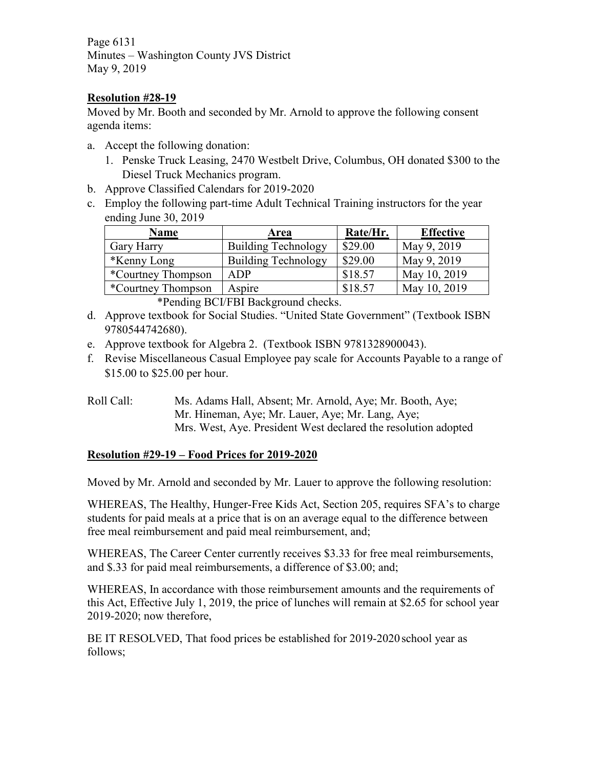Page 6131 Minutes – Washington County JVS District May 9, 2019

# **Resolution #28-19**

Moved by Mr. Booth and seconded by Mr. Arnold to approve the following consent agenda items:

- a. Accept the following donation:
	- 1. Penske Truck Leasing, 2470 Westbelt Drive, Columbus, OH donated \$300 to the Diesel Truck Mechanics program.
- b. Approve Classified Calendars for 2019-2020
- c. Employ the following part-time Adult Technical Training instructors for the year ending June 30, 2019

| <b>Name</b>                | Area                       | Rate/Hr. | <b>Effective</b> |  |
|----------------------------|----------------------------|----------|------------------|--|
| <b>Gary Harry</b>          | <b>Building Technology</b> | \$29.00  | May 9, 2019      |  |
| <i>*</i> Kenny Long        | <b>Building Technology</b> | \$29.00  | May 9, 2019      |  |
| <i>*</i> Courtney Thompson | <b>ADP</b>                 | \$18.57  | May 10, 2019     |  |
| *Courtney Thompson         | Aspire                     | \$18.57  | May 10, 2019     |  |

\*Pending BCI/FBI Background checks.

- d. Approve textbook for Social Studies. "United State Government" (Textbook ISBN 9780544742680).
- e. Approve textbook for Algebra 2. (Textbook ISBN 9781328900043).
- f. Revise Miscellaneous Casual Employee pay scale for Accounts Payable to a range of \$15.00 to \$25.00 per hour.
- Roll Call: Ms. Adams Hall, Absent; Mr. Arnold, Aye; Mr. Booth, Aye; Mr. Hineman, Aye; Mr. Lauer, Aye; Mr. Lang, Aye; Mrs. West, Aye. President West declared the resolution adopted

# **Resolution #29-19 – Food Prices for 2019-2020**

Moved by Mr. Arnold and seconded by Mr. Lauer to approve the following resolution:

WHEREAS, The Healthy, Hunger-Free Kids Act, Section 205, requires SFA's to charge students for paid meals at a price that is on an average equal to the difference between free meal reimbursement and paid meal reimbursement, and;

WHEREAS, The Career Center currently receives \$3.33 for free meal reimbursements, and \$.33 for paid meal reimbursements, a difference of \$3.00; and;

WHEREAS, In accordance with those reimbursement amounts and the requirements of this Act, Effective July 1, 2019, the price of lunches will remain at \$2.65 for school year 2019-2020; now therefore,

BE IT RESOLVED, That food prices be established for 2019-2020 school year as follows;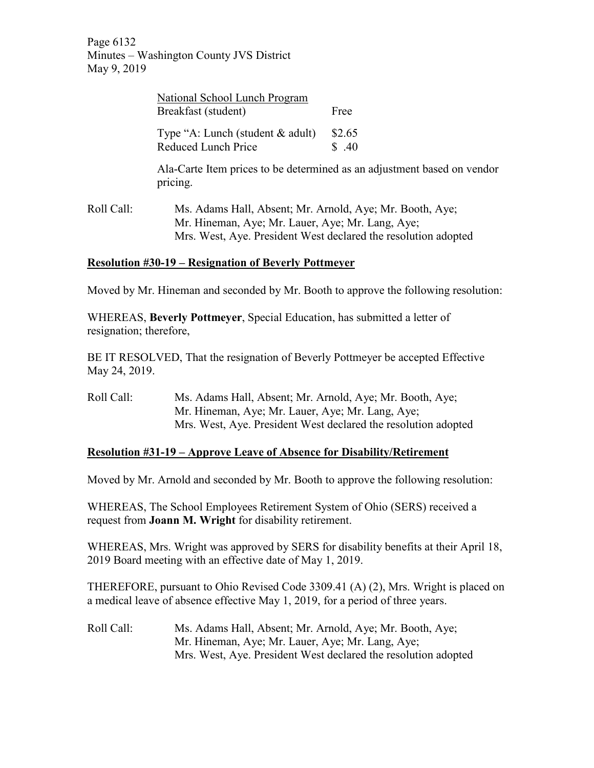Page 6132 Minutes – Washington County JVS District May 9, 2019

|            | National School Lunch Program<br>Breakfast (student)       | Free                                                                                                                                                                           |  |  |
|------------|------------------------------------------------------------|--------------------------------------------------------------------------------------------------------------------------------------------------------------------------------|--|--|
|            | Type "A: Lunch (student $\&$ adult)<br>Reduced Lunch Price | \$2.65<br>\$.40                                                                                                                                                                |  |  |
|            | pricing.                                                   | Ala-Carte Item prices to be determined as an adjustment based on vendor                                                                                                        |  |  |
| Roll Call: |                                                            | Ms. Adams Hall, Absent; Mr. Arnold, Aye; Mr. Booth, Aye;<br>Mr. Hineman, Aye; Mr. Lauer, Aye; Mr. Lang, Aye;<br>Mrs. West, Aye. President West declared the resolution adopted |  |  |

# **Resolution #30-19 – Resignation of Beverly Pottmeyer**

Moved by Mr. Hineman and seconded by Mr. Booth to approve the following resolution:

WHEREAS, **Beverly Pottmeyer**, Special Education, has submitted a letter of resignation; therefore,

BE IT RESOLVED, That the resignation of Beverly Pottmeyer be accepted Effective May 24, 2019.

Roll Call: Ms. Adams Hall, Absent; Mr. Arnold, Aye; Mr. Booth, Aye; Mr. Hineman, Aye; Mr. Lauer, Aye; Mr. Lang, Aye; Mrs. West, Aye. President West declared the resolution adopted

## **Resolution #31-19 – Approve Leave of Absence for Disability/Retirement**

Moved by Mr. Arnold and seconded by Mr. Booth to approve the following resolution:

WHEREAS, The School Employees Retirement System of Ohio (SERS) received a request from **Joann M. Wright** for disability retirement.

WHEREAS, Mrs. Wright was approved by SERS for disability benefits at their April 18, 2019 Board meeting with an effective date of May 1, 2019.

THEREFORE, pursuant to Ohio Revised Code 3309.41 (A) (2), Mrs. Wright is placed on a medical leave of absence effective May 1, 2019, for a period of three years.

Roll Call: Ms. Adams Hall, Absent; Mr. Arnold, Aye; Mr. Booth, Aye; Mr. Hineman, Aye; Mr. Lauer, Aye; Mr. Lang, Aye; Mrs. West, Aye. President West declared the resolution adopted